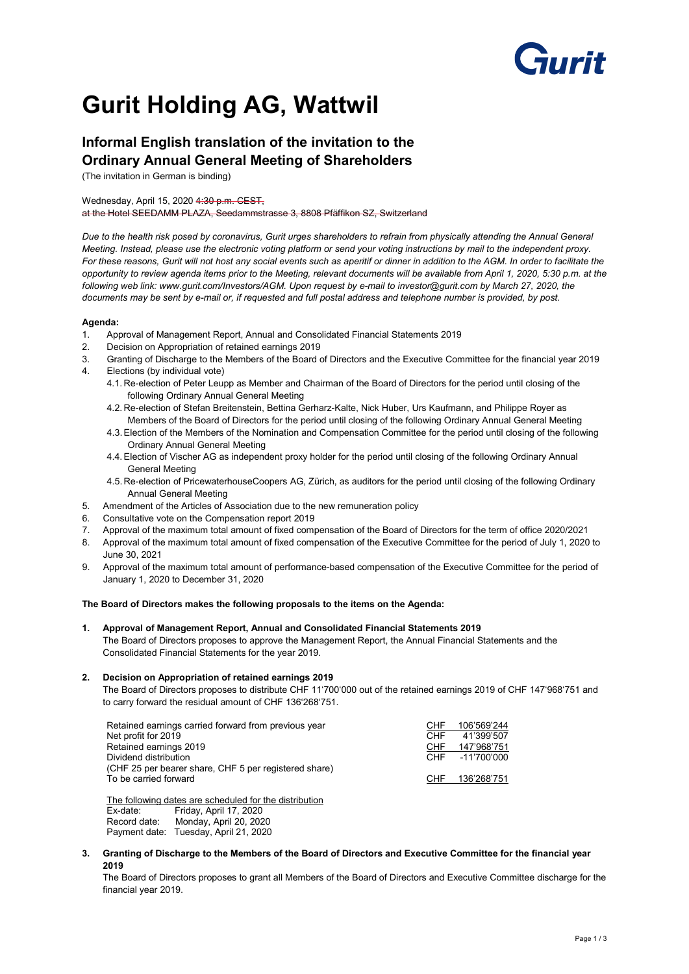# ìrreit

## **Gurit Holding AG, Wattwil**

### **Informal English translation of the invitation to the Ordinary Annual General Meeting of Shareholders**

(The invitation in German is binding)

#### Wednesday, April 15, 2020 4:30 p.m. CEST,

at the Hotel SEEDAMM PLAZA, Seedammstrasse 3, 8808 Pfäffikon SZ, Switzerland

*Due to the health risk posed by coronavirus, Gurit urges shareholders to refrain from physically attending the Annual General Meeting. Instead, please use the electronic voting platform or send your voting instructions by mail to the independent proxy. For these reasons, Gurit will not host any social events such as aperitif or dinner in addition to the AGM. In order to facilitate the opportunity to review agenda items prior to the Meeting, relevant documents will be available from April 1, 2020, 5:30 p.m. at the following web link: www.gurit.com/Investors/AGM. Upon request by e-mail to investor@gurit.com by March 27, 2020, the documents may be sent by e-mail or, if requested and full postal address and telephone number is provided, by post.*

#### **Agenda:**

- 1. Approval of Management Report, Annual and Consolidated Financial Statements 2019
- 2. Decision on Appropriation of retained earnings 2019
- 3. Granting of Discharge to the Members of the Board of Directors and the Executive Committee for the financial year 2019 4. Elections (by individual vote)
- - 4.1. Re-election of Peter Leupp as Member and Chairman of the Board of Directors for the period until closing of the following Ordinary Annual General Meeting
	- 4.2. Re-election of Stefan Breitenstein, Bettina Gerharz-Kalte, Nick Huber, Urs Kaufmann, and Philippe Royer as Members of the Board of Directors for the period until closing of the following Ordinary Annual General Meeting
	- 4.3. Election of the Members of the Nomination and Compensation Committee for the period until closing of the following Ordinary Annual General Meeting
	- 4.4.Election of Vischer AG as independent proxy holder for the period until closing of the following Ordinary Annual General Meeting
	- 4.5. Re-election of PricewaterhouseCoopers AG, Zürich, as auditors for the period until closing of the following Ordinary Annual General Meeting
- 5. Amendment of the Articles of Association due to the new remuneration policy
- 6. Consultative vote on the Compensation report 2019
- 7. Approval of the maximum total amount of fixed compensation of the Board of Directors for the term of office 2020/2021
- 8. Approval of the maximum total amount of fixed compensation of the Executive Committee for the period of July 1, 2020 to June 30, 2021
- 9. Approval of the maximum total amount of performance-based compensation of the Executive Committee for the period of January 1, 2020 to December 31, 2020

#### **The Board of Directors makes the following proposals to the items on the Agenda:**

**1. Approval of Management Report, Annual and Consolidated Financial Statements 2019**  The Board of Directors proposes to approve the Management Report, the Annual Financial Statements and the Consolidated Financial Statements for the year 2019.

#### **2. Decision on Appropriation of retained earnings 2019**

The Board of Directors proposes to distribute CHF 11'700'000 out of the retained earnings 2019 of CHF 147'968'751 and to carry forward the residual amount of CHF 136'268'751.

| Retained earnings carried forward from previous year  | <b>CHF</b> | 106'569'244     |
|-------------------------------------------------------|------------|-----------------|
| Net profit for 2019                                   | CHF        | 41'399'507      |
| Retained earnings 2019                                | CHF        | 147'968'751     |
| Dividend distribution                                 |            | CHF -11'700'000 |
| (CHF 25 per bearer share, CHF 5 per registered share) |            |                 |
| To be carried forward                                 | CHF        | 136'268'751     |

The following dates are scheduled for the distribution Ex-date: Friday, April 17, 2020<br>Record date: Monday, April 20, 202

Monday, April 20, 2020 Payment date: Tuesday, April 21, 2020

**3. Granting of Discharge to the Members of the Board of Directors and Executive Committee for the financial year 2019** 

The Board of Directors proposes to grant all Members of the Board of Directors and Executive Committee discharge for the financial year 2019.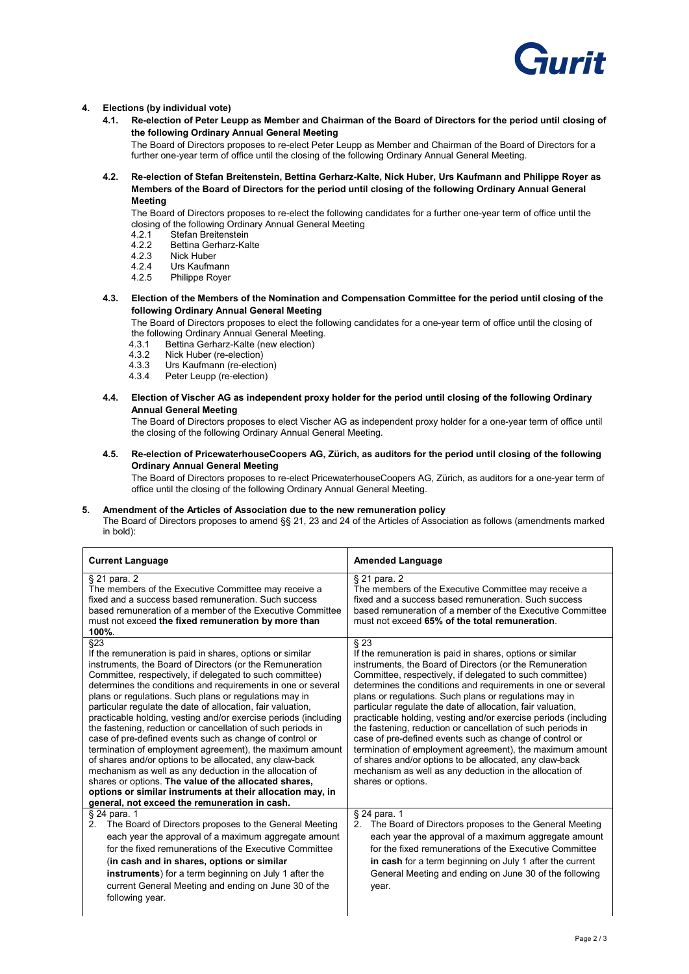

#### **4. Elections (by individual vote)**

**4.1. Re-election of Peter Leupp as Member and Chairman of the Board of Directors for the period until closing of the following Ordinary Annual General Meeting** 

The Board of Directors proposes to re-elect Peter Leupp as Member and Chairman of the Board of Directors for a further one-year term of office until the closing of the following Ordinary Annual General Meeting.

**4.2. Re-election of Stefan Breitenstein, Bettina Gerharz-Kalte, Nick Huber, Urs Kaufmann and Philippe Royer as Members of the Board of Directors for the period until closing of the following Ordinary Annual General Meeting**

The Board of Directors proposes to re-elect the following candidates for a further one-year term of office until the closing of the following Ordinary Annual General Meeting<br>4.2.1 Stefan Breitenstein

- Stefan Breitenstein
- 4.2.2 Bettina Gerharz-Kalte
- 4.2.3 Nick Huber<br>4.2.4 Urs Kaufma
- 4.2.4 Urs Kaufmann<br>4.2.5 Philippe Rover
- Philippe Rover
- **4.3. Election of the Members of the Nomination and Compensation Committee for the period until closing of the following Ordinary Annual General Meeting**

The Board of Directors proposes to elect the following candidates for a one-year term of office until the closing of the following Ordinary Annual General Meeting.<br>4.3.1 Bettina Gerharz-Kalte (new election)

4.3.1 Bettina Gerharz-Kalte (new election)<br>4.3.2 Nick Huber (re-election)

- Nick Huber (re-election)
- 4.3.3 Urs Kaufmann (re-election)<br>4.3.4 Peter Leupp (re-election)
- Peter Leupp (re-election)
- **4.4. Election of Vischer AG as independent proxy holder for the period until closing of the following Ordinary Annual General Meeting**

The Board of Directors proposes to elect Vischer AG as independent proxy holder for a one-year term of office until the closing of the following Ordinary Annual General Meeting.

**4.5. Re-election of PricewaterhouseCoopers AG, Zürich, as auditors for the period until closing of the following Ordinary Annual General Meeting**

The Board of Directors proposes to re-elect PricewaterhouseCoopers AG, Zürich, as auditors for a one-year term of office until the closing of the following Ordinary Annual General Meeting.

#### **5. Amendment of the Articles of Association due to the new remuneration policy**

The Board of Directors proposes to amend §§ 21, 23 and 24 of the Articles of Association as follows (amendments marked in bold):

| <b>Current Language</b>                                                                                                                                                                                                                                                                                                                                                                                                                                                                                                                                                                                                                                                                                                                                                                                                                                                                                                                  | <b>Amended Language</b>                                                                                                                                                                                                                                                                                                                                                                                                                                                                                                                                                                                                                                                                                                                                                                   |
|------------------------------------------------------------------------------------------------------------------------------------------------------------------------------------------------------------------------------------------------------------------------------------------------------------------------------------------------------------------------------------------------------------------------------------------------------------------------------------------------------------------------------------------------------------------------------------------------------------------------------------------------------------------------------------------------------------------------------------------------------------------------------------------------------------------------------------------------------------------------------------------------------------------------------------------|-------------------------------------------------------------------------------------------------------------------------------------------------------------------------------------------------------------------------------------------------------------------------------------------------------------------------------------------------------------------------------------------------------------------------------------------------------------------------------------------------------------------------------------------------------------------------------------------------------------------------------------------------------------------------------------------------------------------------------------------------------------------------------------------|
| § 21 para. 2<br>The members of the Executive Committee may receive a<br>fixed and a success based remuneration. Such success<br>based remuneration of a member of the Executive Committee<br>must not exceed the fixed remuneration by more than<br>100%.                                                                                                                                                                                                                                                                                                                                                                                                                                                                                                                                                                                                                                                                                | § 21 para. 2<br>The members of the Executive Committee may receive a<br>fixed and a success based remuneration. Such success<br>based remuneration of a member of the Executive Committee<br>must not exceed 65% of the total remuneration.                                                                                                                                                                                                                                                                                                                                                                                                                                                                                                                                               |
| §23<br>If the remuneration is paid in shares, options or similar<br>instruments, the Board of Directors (or the Remuneration<br>Committee, respectively, if delegated to such committee)<br>determines the conditions and requirements in one or several<br>plans or regulations. Such plans or regulations may in<br>particular regulate the date of allocation, fair valuation,<br>practicable holding, vesting and/or exercise periods (including<br>the fastening, reduction or cancellation of such periods in<br>case of pre-defined events such as change of control or<br>termination of employment agreement), the maximum amount<br>of shares and/or options to be allocated, any claw-back<br>mechanism as well as any deduction in the allocation of<br>shares or options. The value of the allocated shares,<br>options or similar instruments at their allocation may, in<br>general, not exceed the remuneration in cash. | $§$ 23<br>If the remuneration is paid in shares, options or similar<br>instruments, the Board of Directors (or the Remuneration<br>Committee, respectively, if delegated to such committee)<br>determines the conditions and requirements in one or several<br>plans or regulations. Such plans or regulations may in<br>particular regulate the date of allocation, fair valuation,<br>practicable holding, vesting and/or exercise periods (including<br>the fastening, reduction or cancellation of such periods in<br>case of pre-defined events such as change of control or<br>termination of employment agreement), the maximum amount<br>of shares and/or options to be allocated, any claw-back<br>mechanism as well as any deduction in the allocation of<br>shares or options. |
| § 24 para. 1<br>The Board of Directors proposes to the General Meeting<br>2.<br>each year the approval of a maximum aggregate amount<br>for the fixed remunerations of the Executive Committee<br>(in cash and in shares, options or similar<br><b>instruments</b> ) for a term beginning on July 1 after the<br>current General Meeting and ending on June 30 of the<br>following year.                                                                                                                                                                                                                                                                                                                                                                                                                                                                                                                                                 | $\overline{\S}$ 24 para. 1<br>The Board of Directors proposes to the General Meeting<br>2.<br>each year the approval of a maximum aggregate amount<br>for the fixed remunerations of the Executive Committee<br>in cash for a term beginning on July 1 after the current<br>General Meeting and ending on June 30 of the following<br>year.                                                                                                                                                                                                                                                                                                                                                                                                                                               |